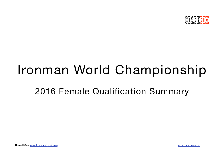

# Ironman World Championship

# 2016 Female Qualification Summary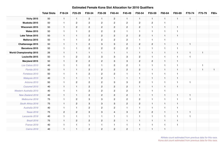|                                | <b>Total Slots</b> | F18-24         | F25-29         | F30-34         | F35-39         | F40-44         | F45-49         | F50-54                  | F55-59       | F60-64         | F65-69       | F70-74       | F75-79         | F80+         |
|--------------------------------|--------------------|----------------|----------------|----------------|----------------|----------------|----------------|-------------------------|--------------|----------------|--------------|--------------|----------------|--------------|
| <b>Vichy 2015</b>              | 50                 | $\mathbf{1}$   | $\mathbf{1}$   | $\overline{2}$ | $\mathbf{1}$   | $\overline{c}$ | $\mathbf{1}$   | $\mathbf{1}$            | $\mathbf{1}$ | $\overline{1}$ | $\mathbf{1}$ | $\mathbf{1}$ |                |              |
| Muskoka 2015                   | 50                 | $\overline{1}$ | $\overline{2}$ | $\overline{2}$ | $\mathbf{2}$   | $\sqrt{2}$     | $\overline{2}$ | $\overline{2}$          | $\sqrt{2}$   | $\overline{1}$ |              |              |                |              |
| Wisconsin 2015                 | 50                 | $\mathbf{1}$   | $\overline{2}$ | $\overline{2}$ | $\overline{2}$ | $\mathbf{2}$   | $\overline{2}$ | $\mathbf{2}^{\prime}$   | $\mathbf{1}$ | $\overline{1}$ | $\mathbf{1}$ |              |                |              |
| <b>Wales 2015</b>              | 50                 | $\overline{1}$ | $\mathbf{1}$   | $\overline{2}$ | $\overline{2}$ | $\overline{2}$ | $\mathbf{1}$   | $\overline{\mathbf{1}}$ | $\mathbf{1}$ | $\mathbf{1}$   | $\mathbf{1}$ |              |                |              |
| Lake Tahoe 2015                | 50                 | $\mathbf{1}$   | $\mathbf{1}$   | $\overline{2}$ | $\overline{c}$ | $\overline{c}$ | $\overline{2}$ | $\overline{2}$          | $\mathbf{1}$ | $\overline{1}$ | $\mathbf{1}$ |              |                |              |
| Mallorca 2015                  | 50                 | $\overline{1}$ | $\mathbf{1}$   | $\mathbf{2}$   | $\overline{2}$ | $\sqrt{2}$     | $\mathbf{2}$   | $\mathbf{1}$            | $\mathbf{1}$ | $\overline{1}$ |              |              |                |              |
| Chattanooga 2015               | 50                 | $\mathbf{1}$   | $\mathbf{1}$   | $\overline{2}$ | $\mathbf{3}$   | $\mathbf{3}$   | $\overline{2}$ | $\overline{2}$          | $\mathbf{2}$ | $\overline{1}$ | $\mathbf{1}$ | $\mathbf{1}$ |                |              |
| Barcelona 2015                 | 50                 | $\overline{1}$ | $\mathbf{1}$   | $\overline{c}$ | $\overline{2}$ | $\sqrt{2}$     | $\overline{2}$ | $\overline{1}$          | $\mathbf{1}$ | $\overline{1}$ | $\mathbf{1}$ |              |                |              |
| <b>World Championship 2015</b> | 26                 | $\mathbf{1}$   | $\mathbf{1}$   | $\mathbf{1}$   | $\mathbf{1}$   | $\mathbf{1}$   | $\mathbf{1}$   | $\mathbf{1}$            | $\mathbf{1}$ | $\overline{1}$ | $\mathbf{1}$ | $\mathbf{1}$ |                |              |
| Louisville 2015                | 50                 | $\overline{1}$ | $\overline{2}$ | $\overline{2}$ | 3              | $\mathbf 3$    | 3              | $\overline{2}$          | $\mathbf{1}$ | $\overline{1}$ | $\mathbf{1}$ | $\mathbf{1}$ |                |              |
| Maryland 2015                  | 50                 | $\mathbf{1}$   | $\mathbf{2}$   | $\mathbf{2}$   | $\overline{c}$ | $\mathbf 3$    | $\mathbf{3}$   | $\mathbf{2}^{\prime}$   | $\sqrt{2}$   | $\overline{1}$ | $\mathbf{1}$ |              |                |              |
| Los Cabos 2015                 | 40                 | $\mathbf{1}$   | $\mathbf{1}$   | $\mathbf{2}$   | $\mathbf{1}$   | $\sqrt{2}$     | $\overline{2}$ | $\mathbf{1}$            | $\mathbf{1}$ | $\overline{1}$ | $\mathbf{1}$ |              | $\overline{1}$ |              |
| Florida 2015                   | 50                 | $\mathbf{1}$   | $\mathbf{1}$   | $\mathbf{2}$   | $\overline{c}$ | $\mathbf{2}$   | $\overline{2}$ | $\mathbf{2}^{\prime}$   | $\mathbf{1}$ | $\overline{1}$ | $\mathbf{1}$ | $\mathbf{1}$ |                | $\mathbf{1}$ |
| Fortaleza 2015                 | 50                 | $\mathbf{1}$   | $\mathbf{1}$   | $\overline{c}$ | $\overline{2}$ | $\sqrt{2}$     | $\mathbf{1}$   | $\overline{1}$          | $\mathbf{1}$ | $\overline{1}$ | $\mathbf{1}$ |              |                |              |
| Malaysia 2015                  | 40                 | $\mathbf{1}$   | $\mathbf{1}$   | $\mathbf{1}$   | $\overline{c}$ | $\mathbf{1}$   | $\mathbf{1}$   | $\mathbf{1}$            | $\mathbf{1}$ | $\overline{1}$ | $\mathbf{1}$ |              |                |              |
| Arizona 2015                   | 50                 | -1             | $\overline{2}$ | $\overline{c}$ | $\overline{2}$ | 3              | 3              | $\overline{2}$          | $\mathbf{1}$ | $\overline{1}$ | $\mathbf{1}$ | $\mathbf{1}$ |                |              |
| Cozumel 2015                   | 40                 | $\mathbf{1}$   | $\mathbf{1}$   | $\overline{2}$ | $\mathbf{2}$   | $\overline{c}$ | $\overline{c}$ | $\mathbf{1}$            | $\mathbf{1}$ | $\overline{1}$ | $\mathbf{1}$ |              |                |              |
| Western Australia 2015         | 40                 | -1             | $\mathbf{1}$   | $\overline{2}$ | $\overline{2}$ | $\sqrt{2}$     | $\overline{2}$ | $\overline{\mathbf{1}}$ | $\mathbf{1}$ | $\overline{1}$ |              |              |                |              |
| New Zealand 2016               | 40                 | $\mathbf{1}$   | $\mathbf{1}$   | $\overline{2}$ | $\overline{2}$ | $\mathbf{2}$   | $\overline{2}$ | $\mathbf{1}$            | $\mathbf{1}$ | $\overline{1}$ | $\mathbf{1}$ | $\mathbf{1}$ |                |              |
| Melbourne 2016                 | 75                 | $\mathbf{1}$   | $\overline{2}$ | 3              | 3              | $\mathbf{2}$   | $\overline{2}$ | $\overline{2}$          | $\mathbf{1}$ | $\overline{1}$ | $\mathbf{1}$ | $\mathbf{1}$ |                |              |
| South Africa 2016              | 75                 | $\mathbf{1}$   | $\mathbf{2}$   | $\mathbf 3$    | $\mathbf{3}$   | $\mathbf 3$    | $\mathbf{2}$   | $\mathbf{2}$            | $\mathbf{1}$ | $\overline{1}$ | $\mathbf{1}$ |              |                |              |
| Australia 2016                 | 40                 | $\overline{1}$ | $\mathbf{1}$   | $\overline{c}$ | $\overline{c}$ | $\sqrt{2}$     | $\mathbf{1}$   | $\overline{\mathbf{1}}$ | $\mathbf{1}$ | $\mathbf{1}$   | $\mathbf{1}$ |              |                |              |
| <b>Texas 2016</b>              | 75                 | $\overline{2}$ | $\mathbf{2}$   | 3              | $\mathbf{3}$   | $\overline{4}$ | $\mathbf{3}$   | $\overline{2}$          | $\sqrt{2}$   | $\overline{1}$ | $\mathbf{1}$ | $\mathbf{1}$ |                |              |
| Lanzarote 2016                 | 40                 | $\overline{1}$ | $\mathbf{1}$   | $\overline{1}$ | $\mathbf{1}$   | $\mathbf{1}$   | $\mathbf{1}$   | $\overline{1}$          | $\mathbf{1}$ | $\overline{1}$ | $\mathbf{1}$ | $\mathbf{1}$ |                |              |
| Brazil 2016                    | 75                 | $\mathbf{1}$   | $\overline{2}$ | $\overline{2}$ | $\overline{2}$ | $\overline{c}$ | $\mathbf{1}$   | $\mathbf{1}$            | $\mathbf{1}$ | $\overline{1}$ | $\mathbf{1}$ |              |                |              |
| France 2016                    | 40                 | -1             | $\mathbf{1}$   | $\mathbf{1}$   | $\mathbf{1}$   | $\mathbf{1}$   | $\mathbf{1}$   | -1                      | $\mathbf{1}$ | $\mathbf{1}$   | $\mathbf{1}$ |              |                |              |
| <b>Cairns 2016</b>             | 40                 | $\overline{1}$ | $\mathbf{1}$   | $\mathbf{2}$   | $\mathbf{2}$   | $\overline{2}$ | $\mathbf{2}$   | $\mathbf{1}$            | $\mathbf{1}$ | $\overline{1}$ |              |              |                |              |

#### **Estimated Female Kona Slot Allocation for 2016 Qualifiers**

Athlete count estimated from previous data for this race. Kona slot count estimated from previous data for this race.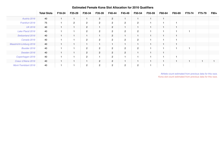|                            | <b>Total Slots</b> | F18-24 | F25-29         | F30-34         | F35-39         | F40-44                | F45-49                | F50-54         | F55-59                  | F60-64                  | F65-69         | F70-74 | F75-79 | F80+ |
|----------------------------|--------------------|--------|----------------|----------------|----------------|-----------------------|-----------------------|----------------|-------------------------|-------------------------|----------------|--------|--------|------|
| Austria 2016               | 40                 |        |                |                | $\overline{2}$ | $\overline{2}$        |                       | $\overline{1}$ | $\mathbf{1}$            | $\overline{1}$          |                |        |        |      |
| Frankfurt 2016             | 75                 |        | $\overline{2}$ | $\overline{2}$ | $\overline{2}$ | $\overline{2}$        | $\overline{2}$        | $\mathbf{2}$   | 1                       |                         | 1              |        |        |      |
| <b>UK 2016</b>             | 40                 |        |                | $\overline{2}$ |                | $\overline{2}$        |                       | H              | $\overline{1}$          | ٠                       | 1              |        |        |      |
| Lake Placid 2016           | 40                 |        |                | $\overline{2}$ | $\overline{2}$ | $\overline{2}$        | $\mathbf{2}^{\prime}$ | $\overline{2}$ | $\overline{\mathbf{1}}$ | ٠                       | -1             | и      |        |      |
| Switzerland 2016           | 40                 |        |                |                |                | $\overline{2}$        |                       | 4              | $\overline{1}$          | н                       | 1              |        |        |      |
| Canada 2016                | 40                 |        |                | $\overline{2}$ | $\overline{2}$ | $\overline{2}$        | $\overline{2}$        | $\overline{2}$ | -1                      |                         | 1              |        |        |      |
| Maastricht-Limburg 2016    | 40                 |        |                |                |                |                       |                       | 1              | $\overline{1}$          | $\overline{1}$          | $\overline{1}$ |        |        |      |
| Boulder 2016               | 40                 |        |                | $\overline{2}$ | $\overline{2}$ | $\overline{2}$        | $\overline{2}$        | $\overline{2}$ | $\overline{1}$          | 1                       | 1              | ×      |        |      |
| Sweden 2016                | 40                 |        |                | $\overline{2}$ | $\overline{2}$ | $\overline{2}$        | $\overline{2}$        | H              | $\mathbf{1}$            | $\overline{\mathbf{1}}$ |                |        |        |      |
| Copenhagen 2016            | 40                 |        |                | $\overline{2}$ |                | $\overline{2}$        |                       |                | -1                      |                         | -1             |        |        |      |
| Coeur d'Alene 2016         | 40                 |        |                |                | $\overline{2}$ | $\overline{2}$        |                       | 1              | $\blacksquare$          | $\overline{1}$          | 1              | 1      |        |      |
| <b>Mont-Tremblant 2016</b> | 40                 |        |                | $\mathbf{2}$   | $\overline{2}$ | $\mathbf{2}^{\prime}$ | $\overline{2}$        | $\overline{c}$ | 1                       |                         |                |        |        |      |

#### **Estimated Female Kona Slot Allocation for 2016 Qualifiers**

Athlete count estimated from previous data for this race. Kona slot count estimated from previous data for this race.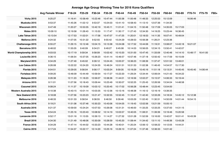# **Average Age Group Winning Time for 2016 Kona Qualifiers**

|                                | <b>Avg Female Winner</b> | F18-24   | F25-29   | F30-34   | F35-39   | F40-44   | F45-49   | F50-54   | F55-59   | F60-64   | F65-69   | F70-74   | F75-79   | F80+ |
|--------------------------------|--------------------------|----------|----------|----------|----------|----------|----------|----------|----------|----------|----------|----------|----------|------|
| <b>Vichy 2015</b>              | 9:25:27                  | 11:16:41 | 10:58:49 | 10:22:46 | 10:47:44 | 11:00:38 | 11:00:48 | 11:48:33 | 12:25:53 | 15:12:09 |          | 16:06:46 |          |      |
| Muskoka 2015                   | 9:53:37                  | 11:45:26 | 11:02:12 | 9:53:37  | 10:24:03 | 10:41:10 | 10:58:43 | 11:13:10 | 12:07:36 | 11:34:30 |          |          |          |      |
| <b>Wisconsin 2015</b>          | 9:47:49                  | 11:20:27 | 10:53:35 | 10:42:19 | 10:45:11 | 11:01:41 | 11:04:15 | 11:50:48 | 13:17:09 | 14:35:05 | 15:17:03 |          |          |      |
| <b>Wales 2015</b>              | 10:09:10                 | 12:19:58 | 11:28:43 | 11:15:53 | 11:17:47 | 11:30:17 | 11:27:43 | 12:34:30 | 14:19:25 | 15:23:44 | 16:36:45 |          |          |      |
| Lake Tahoe 2015                | 10:13:54                 | 12:17:53 | 11:02:01 | 11:17:58 | 10:47:07 | 11:47:25 | 11:20:01 | 12:18:53 | 14:11:35 | 16:07:41 | 16:49:04 |          |          |      |
| Mallorca 2015                  | 9:24:32                  | 11:07:05 | 10:31:22 | 9:52:55  | 9:55:42  | 10:24:29 | 10:28:53 | 10:56:38 | 11:26:21 | 12:23:36 |          |          |          |      |
| Chattanooga 2015               | 8:55:27                  | 11:29:15 | 10:12:46 | 10:04:15 | 10:13:38 | 10:24:08 | 10:17:52 | 10:44:06 | 11:19:31 | 13:08:07 | 14:43:18 | 16:21:07 |          |      |
| Barcelona 2015                 | 8:48:02                  | 11:55:05 | 9:40:09  | 9:34:21  | 9:49:27  | 9:45:08  | 10:14:03 | 10:56:05 | 12:34:15 | 13:50:41 | 14:42:07 |          |          |      |
| <b>World Championship 2015</b> | 9:03:53                  | 10:17:19 | 9:59:34  | 9:58:09  | 10:02:42 | 10:10:20 | 10:31:00 | 10:47:45 | 11:33:09 | 12:40:46 | 14:14:10 | 15:48:17 | 16:41:00 |      |
| Louisville 2015                | 9:36:15                  | 11:06:54 | 10:37:05 | 10:26:23 | 10:41:14 | 10:46:57 | 10:57:46 | 11:37:18 | 12:50:42 | 14:17:59 | 16:15:09 |          |          |      |
| Maryland 2015                  | 9:34:29                  | 11:27:49 | 9:45:02  | 9:39:12  | 10:24:45 | 10:05:57 | 10:36:23 | 11:08:39 | 11:37:47 | 12:01:52 | 13:49:01 |          |          |      |
| Los Cabos 2015                 | 9:26:08                  | 13:22:22 | 10:24:20 | 10:24:55 | 10:46:24 | 10:51:51 | 10:31:53 | 11:02:38 | 11:46:43 | 14:54:57 | 15:17:30 |          |          |      |
| Florida 2015                   | 9:04:51                  | 10:29:05 | 9:56:04  | 9:56:17  | 10:03:24 | 9:59:35  | 10:19:29 | 10:45:16 | 11:51:18 | 13:13:31 | 14:45:45 | 16:45:40 | 14:06:44 |      |
| Fortaleza 2015                 | 9:09:20                  | 13:46:09 | 10:44:49 | 10:59:54 | 10:17:27 | 10:22:20 | 11:29:24 | 12:34:44 | 12:06:04 | 14:21:43 | 16:34:22 |          |          |      |
| Malaysia 2015                  | 9:26:38                  | 12:11:23 | 11:18:23 | 10:56:07 | 10:38:36 | 11:44:01 | 12:16:56 | 12:02:27 | 15:15:57 | 14:06:33 | 16:19:44 |          |          |      |
| Arizona 2015                   | 9:11:01                  | 11:07:56 | 10:18:43 | 10:09:44 | 10:23:49 | 10:30:07 | 10:52:25 | 11:25:43 | 12:26:56 | 13:34:04 | 14:48:58 |          |          |      |
| Cozumel 2015                   | 9:08:24                  | 11:11:37 | 10:19:09 | 10:03:12 | 10:20:45 | 10:17:02 | 10:56:28 | 10:48:44 | 12:23:45 | 13:54:00 |          |          |          |      |
| Western Australia 2015         | 9:10:38                  | 10:43:15 | 10:01:14 | 10:03:35 | 10:12:36 | 10:13:16 | 10:48:38 | 11:16:12 | 12:16:19 | 13:39:35 |          |          |          |      |
| New Zealand 2016               | 9:18:08                  | 11:07:56 | 10:23:23 | 10:21:47 | 10:32:55 | 10:52:45 | 11:10:47 | 11:42:40 | 12:33:26 | 14:18:34 | 14:45:12 | 15:12:38 |          |      |
| Melbourne 2016                 | 8:48:33                  | 10:51:33 | 9:58:54  | 9:38:55  | 9:46:50  | 9:39:46  | 10:03:29 | 11:02:40 | 11:30:31 | 14:50:09 | 14:01:44 | 16:54:15 |          |      |
| South Africa 2016              | 9:19:21                  | 11:51:08 | 10:37:46 | 10:30:23 | 10:43:06 | 10:54:05 | 11:19:43 | 12:02:56 | 13:21:59 | 15:05:10 |          |          |          |      |
| Australia 2016                 | 9:21:37                  | 10:59:00 | 10:24:24 | 10:07:53 | 10:26:08 | 10:31:31 | 10:46:00 | 11:33:25 | 12:33:25 | 13:37:00 | 14:31:15 |          |          |      |
| <b>Texas 2016</b>              | 8:54:24                  | 11:25:16 | 10:23:43 | 10:08:52 | 10:14:19 | 10:03:57 | 10:40:05 | 11:08:31 | 11:39:39 | 13:19:46 | 15:20:58 |          |          |      |
| Lanzarote 2016                 | 9:52:17                  | 13:01:16 | 11:13:55 | 10:39:13 | 11:14:27 | 11:27:32 | 12:01:28 | 11:52:59 | 13:16:00 | 13:42:07 | 16:01:41 | 16:43:39 |          |      |
| Brazil 2016                    | 9:34:30                  | 11:21:49 | 10:48:06 | 10:30:09 | 10:28:59 | 10:45:20 | 11:08:44 | 11:34:42 | 13:11:10 | 14:49:36 | 13:43:28 |          |          |      |
| France 2016                    | 9:34:29                  | 11:47:14 | 10:44:02 | 10:33:23 | 10:44:28 | 10:40:01 | 11:20:24 | 12:06:12 | 12:58:22 | 14:12:05 | 14:44:31 |          |          |      |
| <b>Cairns 2016</b>             | 9:17:24                  | 11:54:37 | 10:22:17 | 10:14:20 | 10:25:16 | 10:26:10 | 11:07:24 | 11:37:46 | 12:36:33 | 14:01:42 |          |          |          |      |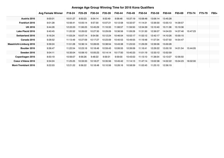# **Average Age Group Winning Time for 2016 Kona Qualifiers**

|                            | <b>Avg Female Winner</b> | F18-24   | F25-29   | F30-34   | F35-39   | F40-44   | F45-49   | F50-54   | F55-59   | F60-64   | F65-69   | F70-74   | F75-79 | <b>F80+</b> |
|----------------------------|--------------------------|----------|----------|----------|----------|----------|----------|----------|----------|----------|----------|----------|--------|-------------|
| Austria 2016               | 9:00:01                  | 10:51:27 | 9:50:23  | 9:54:14  | 9:52:49  | 9:58:48  | 10:37:19 | 10:58:48 | 13:06:14 | 13:45:28 |          |          |        |             |
| <b>Frankfurt 2016</b>      | 9:01:28                  | 10:56:41 | 10:05:14 | 9:57:30  | 10:07:21 | 10:12:58 | 10:32:57 | 11:14:31 | 12:39:30 | 13:55:13 | 14:39:57 |          |        |             |
| <b>UK 2016</b>             | 9:44:26                  | 12:22:23 | 11:06:23 | 10:45:29 | 11:16:33 | 11:08:57 | 11:59:50 | 12:34:39 | 13:10:40 | 15:11:38 | 15:19:36 |          |        |             |
| Lake Placid 2016           | 9:40:45                  | 11:20:32 | 10:26:02 | 10:27:30 | 10:29:09 | 10:36:56 | 11:09:28 | 11:31:30 | 12:36:07 | 14:04:03 | 14:37:46 | 15:47:23 |        |             |
| <b>Switzerland 2016</b>    | 9:16:24                  | 11:03:24 | 10:07:14 | 9:54:58  | 10:12:24 | 10:46:54 | 10:52:17 | 11:52:12 | 12:42:17 | 14:10:26 | 15:00:15 |          |        |             |
| Canada 2016                | 9:28:52                  | 11:13:49 | 10:27:09 | 10:17:27 | 10:23:09 | 10:40:53 | 10:49:05 | 11:19:48 | 11:57:34 | 13:57:50 | 14:54:47 |          |        |             |
| Maastricht-Limburg 2016    | 9:39:24                  | 11:51:28 | 10:36:14 | 10:28:05 | 10:38:54 | 10:43:38 | 11:23:53 | 11:29:29 | 12:39:06 | 15:00:28 |          |          |        |             |
| Boulder 2016               | 9:36:47                  | 11:22:54 | 10:23:16 | 10:18:46 | 10:59:43 | 10:06:55 | 10:39:06 | 11:16:41 | 12:29:22 | 13:00:18 | 14:01:54 | 15:44:05 |        |             |
| Sweden 2016                | 9:04:11                  | 10:35:04 | 10:08:10 | 10:05:23 | 10:14:14 | 10:17:50 | 10:40:23 | 11:01:19 | 12:33:12 | 13:52:59 |          |          |        |             |
| Copenhagen 2016            | 8:50:19                  | 10:56:07 | 9:56:26  | 9:48:22  | 9:59:31  | 9:59:00  | 10:43:02 | 11:13:10 | 11:38:54 | 12:13:07 | 12:56:50 |          |        |             |
| Coeur d'Alene 2016         | 9:34:24                  | 11:25:25 | 10:33:33 | 10:18:27 | 10:35:56 | 10:45:42 | 11:14:13 | 11:47:14 | 13:02:38 | 14:02:22 | 15:04:23 | 16:02:00 |        |             |
| <b>Mont-Tremblant 2016</b> | 9:22:03                  | 12:21:22 | 9:56:22  | 10:18:48 | 10:10:56 | 10:26:16 | 10:58:59 | 11:02:45 | 11:25:10 | 12:56:19 |          |          |        |             |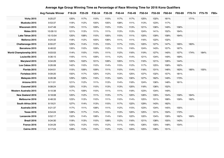### **Average Age Group Winning Time as Percentage of Race Winning Time for 2016 Kona Qualifiers**

|                                | <b>Avg Female Winner</b> | F18-24 | F25-29 | F30-34 | F35-39 | F40-44 | F45-49 | F50-54 | F55-59 | F60-64 | F65-69 | F70-74 | F75-79 | F80+ |
|--------------------------------|--------------------------|--------|--------|--------|--------|--------|--------|--------|--------|--------|--------|--------|--------|------|
| <b>Vichy 2015</b>              | 9:25:27                  | 120%   | 117%   | 110%   | 115%   | 117%   | 117%   | 125%   | 132%   | 161%   |        | 171%   |        |      |
| Muskoka 2015                   | 9:53:37                  | 119%   | 112%   | 100%   | 105%   | 108%   | 111%   | 113%   | 123%   | 117%   |        |        |        |      |
| <b>Wisconsin 2015</b>          | 9:47:49                  | 116%   | 111%   | 109%   | 110%   | 113%   | 113%   | 121%   | 136%   | 149%   | 156%   |        |        |      |
| <b>Wales 2015</b>              | 10:09:10                 | 121%   | 113%   | 111%   | 111%   | 113%   | 113%   | 124%   | 141%   | 152%   | 164%   |        |        |      |
| <b>Lake Tahoe 2015</b>         | 10:13:54                 | 120%   | 108%   | 110%   | 105%   | 115%   | 111%   | 120%   | 139%   | 158%   | 164%   |        |        |      |
| Mallorca 2015                  | 9:24:32                  | 118%   | 112%   | 105%   | 106%   | 111%   | 111%   | 116%   | 122%   | 132%   |        |        |        |      |
| Chattanooga 2015               | 8:55:27                  | 129%   | 114%   | 113%   | 115%   | 117%   | 115%   | 120%   | 127%   | 147%   | 165%   | 183%   |        |      |
| Barcelona 2015                 | 8:48:02                  | 135%   | 110%   | 109%   | 112%   | 111%   | 116%   | 124%   | 143%   | 157%   | 167%   |        |        |      |
| <b>World Championship 2015</b> | 9:03:53                  | 114%   | 110%   | 110%   | 111%   | 112%   | 116%   | 119%   | 127%   | 140%   | 157%   | 174%   | 184%   |      |
| Louisville 2015                | 9:36:15                  | 116%   | 111%   | 109%   | 111%   | 112%   | 114%   | 121%   | 134%   | 149%   | 169%   |        |        |      |
| Maryland 2015                  | 9:34:29                  | 120%   | 102%   | 101%   | 109%   | 105%   | 111%   | 116%   | 121%   | 126%   | 144%   |        |        |      |
| Los Cabos 2015                 | 9:26:08                  | 142%   | 110%   | 110%   | 114%   | 115%   | 112%   | 117%   | 125%   | 158%   | 162%   |        |        |      |
| Florida 2015                   | 9:04:51                  | 115%   | 109%   | 109%   | 111%   | 110%   | 114%   | 118%   | 131%   | 146%   | 163%   | 185%   | 155%   |      |
| Fortaleza 2015                 | 9:09:20                  | 150%   | 117%   | 120%   | 112%   | 113%   | 125%   | 137%   | 132%   | 157%   | 181%   |        |        |      |
| Malaysia 2015                  | 9:26:38                  | 129%   | 120%   | 116%   | 113%   | 124%   | 130%   | 127%   | 162%   | 149%   | 173%   |        |        |      |
| Arizona 2015                   | 9:11:01                  | 121%   | 112%   | 111%   | 113%   | 114%   | 118%   | 124%   | 136%   | 148%   | 161%   |        |        |      |
| Cozumel 2015                   | 9:08:24                  | 122%   | 113%   | 110%   | 113%   | 113%   | 120%   | 118%   | 136%   | 152%   |        |        |        |      |
| <b>Western Australia 2015</b>  | 9:10:38                  | 117%   | 109%   | 110%   | 111%   | 111%   | 118%   | 123%   | 134%   | 149%   |        |        |        |      |
| <b>New Zealand 2016</b>        | 9:18:08                  | 120%   | 112%   | 111%   | 113%   | 117%   | 120%   | 126%   | 135%   | 154%   | 159%   | 164%   |        |      |
| Melbourne 2016                 | 8:48:33                  | 123%   | 113%   | 110%   | 111%   | 110%   | 114%   | 125%   | 131%   | 168%   | 159%   | 192%   |        |      |
| South Africa 2016              | 9:19:21                  | 127%   | 114%   | 113%   | 115%   | 117%   | 122%   | 129%   | 143%   | 162%   |        |        |        |      |
| Australia 2016                 | 9:21:37                  | 117%   | 111%   | 108%   | 111%   | 112%   | 115%   | 123%   | 134%   | 145%   | 155%   |        |        |      |
| <b>Texas 2016</b>              | 8:54:24                  | 128%   | 117%   | 114%   | 115%   | 113%   | 120%   | 125%   | 131%   | 150%   | 172%   |        |        |      |
| Lanzarote 2016                 | 9:52:17                  | 132%   | 114%   | 108%   | 114%   | 116%   | 122%   | 120%   | 134%   | 139%   | 162%   | 169%   |        |      |
| Brazil 2016                    | 9:34:30                  | 119%   | 113%   | 110%   | 109%   | 112%   | 116%   | 121%   | 138%   | 155%   | 143%   |        |        |      |
| France 2016                    | 9:34:29                  | 123%   | 112%   | 110%   | 112%   | 111%   | 118%   | 126%   | 135%   | 148%   | 154%   |        |        |      |
| <b>Cairns 2016</b>             | 9:17:24                  | 128%   | 112%   | 110%   | 112%   | 112%   | 120%   | 125%   | 136%   | 151%   |        |        |        |      |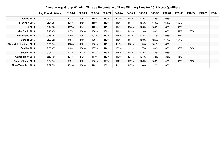|                                | <b>Avg Female Winner</b> | F18-24 | F25-29 | F30-34 | F35-39 | F40-44 | F45-49 | F50-54 | F55-59 | F60-64 | F65-69 | F70-74 | F75-79 | <b>F80+</b> |
|--------------------------------|--------------------------|--------|--------|--------|--------|--------|--------|--------|--------|--------|--------|--------|--------|-------------|
| Austria 2016                   | 9:00:01                  | 121%   | 109%   | 110%   | 110%   | 111%   | 118%   | 122%   | 146%   | 153%   |        |        |        |             |
| <b>Frankfurt 2016</b>          | 9:01:28                  | 121%   | 112%   | 110%   | 112%   | 113%   | 117%   | 125%   | 140%   | 154%   | 163%   |        |        |             |
| <b>UK 2016</b>                 | 9:44:26                  | 127%   | 114%   | 110%   | 116%   | 114%   | 123%   | 129%   | 135%   | 156%   | 157%   |        |        |             |
| Lake Placid 2016               | 9:40:45                  | 117%   | 108%   | 108%   | 108%   | 110%   | 115%   | 119%   | 130%   | 145%   | 151%   | 163%   |        |             |
| <b>Switzerland 2016</b>        | 9:16:24                  | 119%   | 109%   | 107%   | 110%   | 116%   | 117%   | 128%   | 137%   | 153%   | 162%   |        |        |             |
| Canada 2016                    | 9:28:52                  | 118%   | 110%   | 109%   | 110%   | 113%   | 114%   | 120%   | 126%   | 147%   | 157%   |        |        |             |
| <b>Maastricht-Limburg 2016</b> | 9:39:24                  | 123%   | 110%   | 108%   | 110%   | 111%   | 118%   | 119%   | 131%   | 155%   |        |        |        |             |
| Boulder 2016                   | 9:36:47                  | 118%   | 108%   | 107%   | 114%   | 105%   | 111%   | 117%   | 130%   | 135%   | 146%   | 164%   |        |             |
| Sweden 2016                    | 9:04:11                  | 117%   | 112%   | 111%   | 113%   | 114%   | 118%   | 122%   | 138%   | 153%   |        |        |        |             |
| Copenhagen 2016                | 8:50:19                  | 124%   | 112%   | 111%   | 113%   | 113%   | 121%   | 127%   | 132%   | 138%   | 146%   |        |        |             |
| Coeur d'Alene 2016             | 9:34:24                  | 119%   | 110%   | 108%   | 111%   | 112%   | 117%   | 123%   | 136%   | 147%   | 157%   | 167%   |        |             |
| <b>Mont-Tremblant 2016</b>     | 9:22:03                  | 132%   | 106%   | 110%   | 109%   | 111%   | 117%   | 118%   | 122%   | 138%   |        |        |        |             |

#### **Average Age Group Winning Time as Percentage of Race Winning Time for 2016 Kona Qualifiers**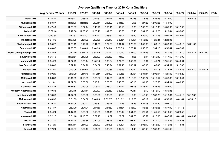# **Average Qualifying Time for 2016 Kona Qualifiers**

|                                | <b>Avg Female Winner</b> | F18-24   | F25-29   | F30-34   | F35-39   | F40-44   | F45-49   | F50-54   | F55-59   | F60-64   | F65-69   | F70-74   | F75-79   | F80+ |
|--------------------------------|--------------------------|----------|----------|----------|----------|----------|----------|----------|----------|----------|----------|----------|----------|------|
| <b>Vichy 2015</b>              | 9:25:27                  | 11:16:41 | 10:58:49 | 10:27:31 | 10:47:44 | 11:23:25 | 11:00:48 | 11:48:33 | 12:25:53 | 15:12:09 |          | 16:06:46 |          |      |
| Muskoka 2015                   | 9:53:37                  | 11:45:26 | 11:11:15 | 10:02:14 | 10:33:09 | 10:41:57 | 11:12:05 | 11:27:28 | 12:09:25 | 11:34:30 |          |          |          |      |
| <b>Wisconsin 2015</b>          | 9:47:49                  | 11:20:27 | 10:57:14 | 10:48:43 | 10:55:16 | 11:07:10 | 11:19:30 | 12:08:29 | 13:17:09 | 14:35:05 | 15:17:03 |          |          |      |
| <b>Wales 2015</b>              | 10:09:10                 | 12:19:58 | 11:28:43 | 11:26:16 | 11:37:30 | 11:50:25 | 11:27:43 | 12:34:30 | 14:19:25 | 15:23:44 | 16:36:45 |          |          |      |
| Lake Tahoe 2015                | 10:13:54                 | 12:17:53 | 11:02:01 | 11:24:42 | 10:53:57 | 11:55:01 | 11:36:50 | 12:29:19 | 14:11:35 | 16:07:41 | 16:49:04 |          |          |      |
| Mallorca 2015                  | 9:24:32                  | 11:07:05 | 10:31:22 | 10:02:36 | 10:03:47 | 10:29:54 | 10:42:01 | 10:56:38 | 11:26:21 | 12:23:36 |          |          |          |      |
| Chattanooga 2015               | 8:55:27                  | 11:29:15 | 10:12:46 | 10:11:08 | 10:24:31 | 10:31:17 | 10:26:02 | 10:59:09 | 11:33:15 | 13:08:07 | 14:43:18 | 16:21:07 |          |      |
| Barcelona 2015                 | 8:48:02                  | 11:55:05 | 9:40:09  | 9:44:38  | 9:54:20  | 9:55:55  | 10:23:11 | 10:56:05 | 12:34:15 | 13:50:41 | 14:42:07 |          |          |      |
| <b>World Championship 2015</b> | 9:03:53                  | 10:17:19 | 9:59:34  | 9:58:09  | 10:02:42 | 10:10:20 | 10:31:00 | 10:47:45 | 11:33:09 | 12:40:46 | 14:14:10 | 15:48:17 | 16:41:00 |      |
| <b>Louisville 2015</b>         | 9:36:15                  | 11:06:54 | 10:42:25 | 10:33:03 | 10:53:33 | 11:01:22 | 11:14:26 | 11:48:07 | 12:50:42 | 14:17:59 | 16:15:09 |          |          |      |
| <b>Maryland 2015</b>           | 9:34:29                  | 11:27:49 | 10:09:14 | 9:46:18  | 10:30:24 | 10:24:39 | 10:50:01 | 11:16:34 | 11:45:21 | 12:01:52 | 13:49:01 |          |          |      |
| Los Cabos 2015                 | 9:26:08                  | 13:22:22 | 10:24:20 | 10:34:52 | 10:46:24 | 10:57:48 | 10:35:17 | 11:02:38 | 11:46:43 | 14:54:57 | 15:17:30 |          |          |      |
| Florida 2015                   | 9:04:51                  | 10:29:05 | 9:56:04  | 10:01:44 | 10:10:35 | 10:06:53 | 10:29:42 | 10:54:30 | 11:51:18 | 13:13:31 | 14:45:45 | 16:45:40 | 14:06:44 |      |
| Fortaleza 2015                 | 9:09:20                  | 13:46:09 | 10:44:49 | 11:13:14 | 10:34:20 | 10:50:58 | 11:29:24 | 12:34:44 | 12:06:04 | 14:21:43 | 16:34:22 |          |          |      |
| Malaysia 2015                  | 9:26:38                  | 12:11:23 | 11:18:23 | 10:56:07 | 10:47:23 | 11:44:01 | 12:16:56 | 12:02:27 | 15:15:57 | 14:06:33 | 16:19:44 |          |          |      |
| Arizona 2015                   | 9:11:01                  | 11:07:56 | 10:30:00 | 10:18:21 | 10:28:58 | 10:43:55 | 11:08:15 | 11:31:33 | 12:26:56 | 13:34:04 | 14:48:58 |          |          |      |
| Cozumel 2015                   | 9:08:24                  | 11:11:37 | 10:19:09 | 10:06:20 | 10:28:07 | 10:24:27 | 11:03:03 | 10:48:44 | 12:23:45 | 13:54:00 |          |          |          |      |
| <b>Western Australia 2015</b>  | 9:10:38                  | 10:43:15 | 10:01:14 | 10:09:27 | 10:23:50 | 10:29:00 | 11:00:47 | 11:16:12 | 12:16:19 | 13:39:35 |          |          |          |      |
| <b>New Zealand 2016</b>        | 9:18:08                  | 11:07:56 | 10:23:23 | 10:26:23 | 10:39:25 | 11:02:53 | 11:19:06 | 11:42:40 | 12:33:26 | 14:18:34 | 14:45:12 | 15:12:38 |          |      |
| Melbourne 2016                 | 8:48:33                  | 10:51:33 | 10:04:32 | 9:46:08  | 9:59:37  | 9:51:02  | 10:19:33 | 11:06:19 | 11:30:31 | 14:50:09 | 14:01:44 | 16:54:15 |          |      |
| South Africa 2016              | 9:19:21                  | 11:51:08 | 10:50:42 | 10:55:31 | 10:56:26 | 11:12:26 | 11:33:35 | 12:24:08 | 13:21:59 | 15:05:10 |          |          |          |      |
| Australia 2016                 | 9:21:37                  | 10:59:00 | 10:24:24 | 10:14:56 | 10:34:59 | 10:41:34 | 10:46:00 | 11:33:25 | 12:33:25 | 13:37:00 | 14:31:15 |          |          |      |
| <b>Texas 2016</b>              | 8:54:24                  | 11:47:49 | 10:28:06 | 10:19:09 | 10:31:45 | 10:28:14 | 10:51:05 | 11:25:54 | 11:55:49 | 13:19:46 | 15:20:58 |          |          |      |
| Lanzarote 2016                 | 9:52:17                  | 13:01:16 | 11:13:55 | 10:39:13 | 11:14:27 | 11:27:32 | 12:01:28 | 11:52:59 | 13:16:00 | 13:42:07 | 16:01:41 | 16:43:39 |          |      |
| Brazil 2016                    | 9:34:30                  | 11:21:49 | 10:55:35 | 10:42:09 | 10:38:45 | 10:53:31 | 11:08:44 | 11:34:42 | 13:11:10 | 14:49:36 | 13:43:28 |          |          |      |
| France 2016                    | 9:34:29                  | 11:47:14 | 10:44:02 | 10:33:23 | 10:44:28 | 10:40:01 | 11:20:24 | 12:06:12 | 12:58:22 | 14:12:05 | 14:44:31 |          |          |      |
| <b>Cairns 2016</b>             | 9:17:24                  | 11:54:37 | 10:22:17 | 10:21:03 | 10:33:35 | 10:37:54 | 11:14:40 | 11:37:46 | 12:36:33 | 14:01:42 |          |          |          |      |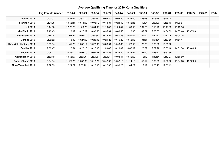# **Average Qualifying Time for 2016 Kona Qualifiers**

|                                | <b>Avg Female Winner</b> | F18-24   | F25-29   | F30-34   | F35-39   | F40-44   | F45-49   | F50-54   | F55-59   | F60-64   | F65-69   | F70-74   | F75-79 | <b>F80+</b> |
|--------------------------------|--------------------------|----------|----------|----------|----------|----------|----------|----------|----------|----------|----------|----------|--------|-------------|
| Austria 2016                   | 9:00:01                  | 10:51:27 | 9:50:23  | 9:54:14  | 10:03:49 | 10:08:50 | 10:37:19 | 10:58:48 | 13:06:14 | 13:45:28 |          |          |        |             |
| <b>Frankfurt 2016</b>          | 9:01:28                  | 10:56:41 | 10:14:03 | 10:03:10 | 10:13:34 | 10:23:42 | 10:46:45 | 11:42:24 | 12:39:30 | 13:55:13 | 14:39:57 |          |        |             |
| <b>UK 2016</b>                 | 9:44:26                  | 12:22:23 | 11:06:23 | 10:54:09 | 11:16:33 | 11:29:01 | 11:59:50 | 12:34:39 | 13:10:40 | 15:11:38 | 15:19:36 |          |        |             |
| Lake Placid 2016               | 9:40:45                  | 11:20:32 | 10:26:02 | 10:33:55 | 10:35:34 | 10:48:56 | 11:18:38 | 11:42:27 | 12:36:07 | 14:04:03 | 14:37:46 | 15:47:23 |        |             |
| <b>Switzerland 2016</b>        | 9:16:24                  | 11:03:24 | 10:07:14 | 9:54:58  | 10:12:24 | 10:51:36 | 10:52:17 | 11:52:12 | 12:42:17 | 14:10:26 | 15:00:15 |          |        |             |
| Canada 2016                    | 9:28:52                  | 11:13:49 | 10:27:09 | 10:25:08 | 10:29:23 | 10:45:29 | 10:56:18 | 11:31:31 | 11:57:34 | 13:57:50 | 14:54:47 |          |        |             |
| <b>Maastricht-Limburg 2016</b> | 9:39:24                  | 11:51:28 | 10:36:14 | 10:28:05 | 10:38:54 | 10:43:38 | 11:23:53 | 11:29:29 | 12:39:06 | 15:00:28 |          |          |        |             |
| Boulder 2016                   | 9:36:47                  | 11:22:54 | 10:23:16 | 10:26:00 | 11:00:42 | 10:19:09 | 10:47:19 | 11:25:29 | 12:29:22 | 13:00:18 | 14:01:54 | 15:44:05 |        |             |
| Sweden 2016                    | 9:04:11                  | 10:35:04 | 10:08:10 | 10:09:41 | 10:20:56 | 10:26:30 | 10:47:27 | 11:01:19 | 12:33:12 | 13:52:59 |          |          |        |             |
| Copenhagen 2016                | 8:50:19                  | 10:56:07 | 9:56:26  | 9:57:29  | 9:59:31  | 10:08:44 | 10:43:02 | 11:13:10 | 11:38:54 | 12:13:07 | 12:56:50 |          |        |             |
| Coeur d'Alene 2016             | 9:34:24                  | 11:25:25 | 10:33:33 | 10:18:27 | 10:42:07 | 10:52:10 | 11:14:13 | 11:47:14 | 13:02:38 | 14:02:22 | 15:04:23 | 16:02:00 |        |             |
| <b>Mont-Tremblant 2016</b>     | 9:22:03                  | 12:21:22 | 9:56:22  | 10:28:30 | 10:22:38 | 10:30:23 | 11:04:22 | 11:12:19 | 11:25:10 | 12:56:19 |          |          |        |             |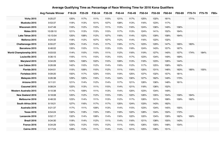### **Average Qualifying Time as Percentage of Race Winning Time for 2016 Kona Qualifiers**

|                                | <b>Avg Female Winner</b> | F18-24 | F25-29 | F30-34 | F35-39 | F40-44 | F45-49 | F50-54 | F55-59 | F60-64 | F65-69 | F70-74 | F75-79 | F80+ |
|--------------------------------|--------------------------|--------|--------|--------|--------|--------|--------|--------|--------|--------|--------|--------|--------|------|
| <b>Vichy 2015</b>              | 9:25:27                  | 120%   | 117%   | 111%   | 115%   | 121%   | 117%   | 125%   | 132%   | 161%   |        | 171%   |        |      |
| Muskoka 2015                   | 9:53:37                  | 119%   | 113%   | 101%   | 107%   | 108%   | 113%   | 116%   | 123%   | 117%   |        |        |        |      |
| Wisconsin 2015                 | 9:47:49                  | 116%   | 112%   | 110%   | 111%   | 113%   | 116%   | 124%   | 136%   | 149%   | 156%   |        |        |      |
| <b>Wales 2015</b>              | 10:09:10                 | 121%   | 113%   | 113%   | 115%   | 117%   | 113%   | 124%   | 141%   | 152%   | 164%   |        |        |      |
| Lake Tahoe 2015                | 10:13:54                 | 120%   | 108%   | 112%   | 107%   | 116%   | 114%   | 122%   | 139%   | 158%   | 164%   |        |        |      |
| Mallorca 2015                  | 9:24:32                  | 118%   | 112%   | 107%   | 107%   | 112%   | 114%   | 116%   | 122%   | 132%   |        |        |        |      |
| Chattanooga 2015               | 8:55:27                  | 129%   | 114%   | 114%   | 117%   | 118%   | 117%   | 123%   | 129%   | 147%   | 165%   | 183%   |        |      |
| Barcelona 2015                 | 8:48:02                  | 135%   | 110%   | 111%   | 113%   | 113%   | 118%   | 124%   | 143%   | 157%   | 167%   |        |        |      |
| <b>World Championship 2015</b> | 9:03:53                  | 114%   | 110%   | 110%   | 111%   | 112%   | 116%   | 119%   | 127%   | 140%   | 157%   | 174%   | 184%   |      |
| Louisville 2015                | 9:36:15                  | 116%   | 111%   | 110%   | 113%   | 115%   | 117%   | 123%   | 134%   | 149%   | 169%   |        |        |      |
| Maryland 2015                  | 9:34:29                  | 120%   | 106%   | 102%   | 110%   | 109%   | 113%   | 118%   | 123%   | 126%   | 144%   |        |        |      |
| Los Cabos 2015                 | 9:26:08                  | 142%   | 110%   | 112%   | 114%   | 116%   | 112%   | 117%   | 125%   | 158%   | 162%   |        |        |      |
| Florida 2015                   | 9:04:51                  | 115%   | 109%   | 110%   | 112%   | 111%   | 116%   | 120%   | 131%   | 146%   | 163%   | 185%   | 155%   |      |
| Fortaleza 2015                 | 9:09:20                  | 150%   | 117%   | 123%   | 115%   | 119%   | 125%   | 137%   | 132%   | 157%   | 181%   |        |        |      |
| Malaysia 2015                  | 9:26:38                  | 129%   | 120%   | 116%   | 114%   | 124%   | 130%   | 127%   | 162%   | 149%   | 173%   |        |        |      |
| Arizona 2015                   | 9:11:01                  | 121%   | 114%   | 112%   | 114%   | 117%   | 121%   | 126%   | 136%   | 148%   | 161%   |        |        |      |
| Cozumel 2015                   | 9:08:24                  | 122%   | 113%   | 111%   | 115%   | 114%   | 121%   | 118%   | 136%   | 152%   |        |        |        |      |
| <b>Western Australia 2015</b>  | 9:10:38                  | 117%   | 109%   | 111%   | 113%   | 114%   | 120%   | 123%   | 134%   | 149%   |        |        |        |      |
| <b>New Zealand 2016</b>        | 9:18:08                  | 120%   | 112%   | 112%   | 115%   | 119%   | 122%   | 126%   | 135%   | 154%   | 159%   | 164%   |        |      |
| Melbourne 2016                 | 8:48:33                  | 123%   | 114%   | 111%   | 113%   | 112%   | 117%   | 126%   | 131%   | 168%   | 159%   | 192%   |        |      |
| South Africa 2016              | 9:19:21                  | 127%   | 116%   | 117%   | 117%   | 120%   | 124%   | 133%   | 143%   | 162%   |        |        |        |      |
| Australia 2016                 | 9:21:37                  | 117%   | 111%   | 109%   | 113%   | 114%   | 115%   | 123%   | 134%   | 145%   | 155%   |        |        |      |
| <b>Texas 2016</b>              | 8:54:24                  | 132%   | 118%   | 116%   | 118%   | 118%   | 122%   | 128%   | 134%   | 150%   | 172%   |        |        |      |
| Lanzarote 2016                 | 9:52:17                  | 132%   | 114%   | 108%   | 114%   | 116%   | 122%   | 120%   | 134%   | 139%   | 162%   | 169%   |        |      |
| Brazil 2016                    | 9:34:30                  | 119%   | 114%   | 112%   | 111%   | 114%   | 116%   | 121%   | 138%   | 155%   | 143%   |        |        |      |
| France 2016                    | 9:34:29                  | 123%   | 112%   | 110%   | 112%   | 111%   | 118%   | 126%   | 135%   | 148%   | 154%   |        |        |      |
| <b>Cairns 2016</b>             | 9:17:24                  | 128%   | 112%   | 111%   | 114%   | 114%   | 121%   | 125%   | 136%   | 151%   |        |        |        |      |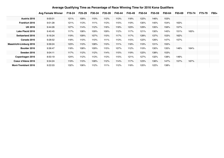|                                | <b>Avg Female Winner</b> | F18-24 | F25-29 | F30-34 | F35-39 | F40-44 | F45-49 | F50-54 | F55-59 | F60-64 | F65-69 | F70-74 | F75-79 | F80+ |
|--------------------------------|--------------------------|--------|--------|--------|--------|--------|--------|--------|--------|--------|--------|--------|--------|------|
| Austria 2016                   | 9:00:01                  | 121%   | 109%   | 110%   | 112%   | 113%   | 118%   | 122%   | 146%   | 153%   |        |        |        |      |
| <b>Frankfurt 2016</b>          | 9:01:28                  | 121%   | 113%   | 111%   | 113%   | 115%   | 119%   | 130%   | 140%   | 154%   | 163%   |        |        |      |
| <b>UK 2016</b>                 | 9:44:26                  | 127%   | 114%   | 112%   | 116%   | 118%   | 123%   | 129%   | 135%   | 156%   | 157%   |        |        |      |
| Lake Placid 2016               | 9:40:45                  | 117%   | 108%   | 109%   | 109%   | 112%   | 117%   | 121%   | 130%   | 145%   | 151%   | 163%   |        |      |
| Switzerland 2016               | 9:16:24                  | 119%   | 109%   | 107%   | 110%   | 117%   | 117%   | 128%   | 137%   | 153%   | 162%   |        |        |      |
| Canada 2016                    | 9:28:52                  | 118%   | 110%   | 110%   | 111%   | 113%   | 115%   | 122%   | 126%   | 147%   | 157%   |        |        |      |
| <b>Maastricht-Limburg 2016</b> | 9:39:24                  | 123%   | 110%   | 108%   | 110%   | 111%   | 118%   | 119%   | 131%   | 155%   |        |        |        |      |
| Boulder 2016                   | 9:36:47                  | 118%   | 108%   | 109%   | 115%   | 107%   | 112%   | 119%   | 130%   | 135%   | 146%   | 164%   |        |      |
| Sweden 2016                    | 9:04:11                  | 117%   | 112%   | 112%   | 114%   | 115%   | 119%   | 122%   | 138%   | 153%   |        |        |        |      |
| Copenhagen 2016                | 8:50:19                  | 124%   | 112%   | 113%   | 113%   | 115%   | 121%   | 127%   | 132%   | 138%   | 146%   |        |        |      |
| Coeur d'Alene 2016             | 9:34:24                  | 119%   | 110%   | 108%   | 112%   | 114%   | 117%   | 123%   | 136%   | 147%   | 157%   | 167%   |        |      |
| <b>Mont-Tremblant 2016</b>     | 9:22:03                  | 132%   | 106%   | 112%   | 111%   | 112%   | 118%   | 120%   | 122%   | 138%   |        |        |        |      |

#### **Average Qualifying Time as Percentage of Race Winning Time for 2016 Kona Qualifiers**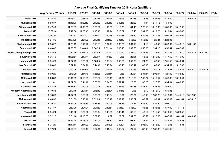### **Average Final Qualifying Time for 2016 Kona Qualifiers**

|                                | <b>Avg Female Winner</b> | F18-24   | F25-29   | F30-34   | F35-39   | F40-44   | F45-49   | F50-54   | F55-59   | F60-64   | F65-69   | F70-74   | F75-79   | F80+ |
|--------------------------------|--------------------------|----------|----------|----------|----------|----------|----------|----------|----------|----------|----------|----------|----------|------|
| <b>Vichy 2015</b>              | 9:25:27                  | 11:16:41 | 10:58:49 | 10:32:16 | 10:47:44 | 11:46:13 | 11:00:48 | 11:48:33 | 12:25:53 | 15:12:09 |          | 16:06:46 |          |      |
| Muskoka 2015                   | 9:53:37                  | 11:45:26 | 11:20:19 | 10:10:52 | 10:42:16 | 10:42:45 | 11:25:28 | 11:41:47 | 12:11:15 | 11:34:30 |          |          |          |      |
| Wisconsin 2015                 | 9:47:49                  | 11:20:27 | 11:00:53 | 10:55:07 | 11:05:22 | 11:12:39 | 11:34:45 | 12:26:10 | 13:17:09 | 14:35:05 | 15:17:03 |          |          |      |
| <b>Wales 2015</b>              | 10:09:10                 | 12:19:58 | 11:28:43 | 11:36:40 | 11:57:14 | 12:10:32 | 11:27:43 | 12:34:30 | 14:19:25 | 15:23:44 | 16:36:45 |          |          |      |
| Lake Tahoe 2015                | 10:13:54                 | 12:17:53 | 11:02:01 | 11:31:27 | 11:00:48 | 12:02:38 | 11:53:39 | 12:39:46 | 14:11:35 | 16:07:41 | 16:49:04 |          |          |      |
| Mallorca 2015                  | 9:24:32                  | 11:07:05 | 10:31:22 | 10:12:18 | 10:11:52 | 10:35:19 | 10:55:08 | 10:56:38 | 11:26:21 | 12:23:36 |          |          |          |      |
| Chattanooga 2015               | 8:55:27                  | 11:29:15 | 10:12:46 | 10:18:01 | 10:37:41 | 10:39:36 | 10:34:12 | 11:14:13 | 11:46:59 | 13:08:07 | 14:43:18 | 16:21:07 |          |      |
| Barcelona 2015                 | 8:48:02                  | 11:55:05 | 9:40:09  | 9:54:55  | 9:59:14  | 10:06:43 | 10:32:20 | 10:56:05 | 12:34:15 | 13:50:41 | 14:42:07 |          |          |      |
| <b>World Championship 2015</b> | 9:03:53                  | 10:17:19 | 9:59:34  | 9:58:09  | 10:02:42 | 10:10:20 | 10:31:00 | 10:47:45 | 11:33:09 | 12:40:46 | 14:14:10 | 15:48:17 | 16:41:00 |      |
| Louisville 2015                | 9:36:15                  | 11:06:54 | 10:47:44 | 10:39:44 | 11:04:52 | 11:10:55 | 11:28:51 | 11:58:56 | 12:50:42 | 14:17:59 | 16:15:09 |          |          |      |
| Maryland 2015                  | 9:34:29                  | 11:27:49 | 10:33:26 | 9:53:25  | 10:36:04 | 10:42:26 | 10:57:33 | 11:24:29 | 11:52:56 | 12:01:52 | 13:49:01 |          |          |      |
| Los Cabos 2015                 | 9:26:08                  | 13:22:22 | 10:24:20 | 10:44:49 | 10:46:24 | 11:03:45 | 10:38:42 | 11:02:38 | 11:46:43 | 14:54:57 | 15:17:30 |          |          |      |
| Florida 2015                   | 9:04:51                  | 10:29:05 | 9:56:04  | 10:07:10 | 10:17:46 | 10:14:10 | 10:39:55 | 11:03:45 | 11:51:18 | 13:13:31 | 14:45:45 | 16:45:40 | 14:06:44 |      |
| Fortaleza 2015                 | 9:09:20                  | 13:46:09 | 10:44:49 | 11:26:35 | 10:51:14 | 11:19:36 | 11:29:24 | 12:34:44 | 12:06:04 | 14:21:43 | 16:34:22 |          |          |      |
| Malaysia 2015                  | 9:26:38                  | 12:11:23 | 11:18:23 | 10:56:07 | 10:56:11 | 11:44:01 | 12:16:56 | 12:02:27 | 15:15:57 | 14:06:33 | 16:19:44 |          |          |      |
| Arizona 2015                   | 9:11:01                  | 11:07:56 | 10:41:18 | 10:26:58 | 10:34:06 | 10:57:42 | 11:23:58 | 11:37:23 | 12:26:56 | 13:34:04 | 14:48:58 |          |          |      |
| Cozumel 2015                   | 9:08:24                  | 11:11:37 | 10:19:09 | 10:09:28 | 10:35:30 | 10:31:53 | 11:09:38 | 10:48:44 | 12:23:45 | 13:54:00 |          |          |          |      |
| <b>Western Australia 2015</b>  | 9:10:38                  | 10:43:15 | 10:01:14 | 10:15:19 | 10:35:04 | 10:44:45 | 11:12:56 | 11:16:12 | 12:16:19 | 13:39:35 |          |          |          |      |
| <b>New Zealand 2016</b>        | 9:18:08                  | 11:07:56 | 10:23:23 | 10:30:58 | 10:45:54 | 11:13:01 | 11:27:24 | 11:42:40 | 12:33:26 | 14:18:34 | 14:45:12 | 15:12:38 |          |      |
| Melbourne 2016                 | 8:48:33                  | 10:51:33 | 10:10:10 | 9:52:26  | 10:10:47 | 10:02:19 | 10:35:37 | 11:09:57 | 11:30:31 | 14:50:09 | 14:01:44 | 16:54:15 |          |      |
| South Africa 2016              | 9:19:21                  | 11:51:08 | 11:03:39 | 11:21:35 | 11:09:03 | 11:28:53 | 11:47:27 | 12:45:20 | 13:21:59 | 15:05:10 |          |          |          |      |
| Australia 2016                 | 9:21:37                  | 10:59:00 | 10:24:24 | 10:21:59 | 10:43:51 | 10:51:37 | 10:46:00 | 11:33:25 | 12:33:25 | 13:37:00 | 14:31:15 |          |          |      |
| <b>Texas 2016</b>              | 8:54:24                  | 12:10:22 | 10:32:30 | 10:30:44 | 10:46:00 | 10:48:11 | 11:03:16 | 11:43:17 | 12:11:59 | 13:19:46 | 15:20:58 |          |          |      |
| Lanzarote 2016                 | 9:52:17                  | 13:01:16 | 11:13:55 | 10:39:13 | 11:14:27 | 11:27:32 | 12:01:28 | 11:52:59 | 13:16:00 | 13:42:07 | 16:01:41 | 16:43:39 |          |      |
| Brazil 2016                    | 9:34:30                  | 11:21:49 | 11:03:04 | 10:54:09 | 10:48:31 | 11:01:42 | 11:08:44 | 11:34:42 | 13:11:10 | 14:49:36 | 13:43:28 |          |          |      |
| France 2016                    | 9:34:29                  | 11:47:14 | 10:44:02 | 10:33:23 | 10:44:28 | 10:40:01 | 11:20:24 | 12:06:12 | 12:58:22 | 14:12:05 | 14:44:31 |          |          |      |
| <b>Cairns 2016</b>             | 9:17:24                  | 11:54:37 | 10:22:17 | 10:27:46 | 10:41:54 | 10:49:37 | 11:21:57 | 11:37:46 | 12:36:33 | 14:01:42 |          |          |          |      |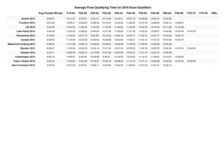### **Average Final Qualifying Time for 2016 Kona Qualifiers**

|                            | <b>Avg Female Winner</b> | F18-24   | F25-29   | F30-34   | F35-39   | F40-44   | F45-49   | F50-54   | F55-59   | F60-64   | F65-69   | F70-74   | F75-79 | <b>F80+</b> |
|----------------------------|--------------------------|----------|----------|----------|----------|----------|----------|----------|----------|----------|----------|----------|--------|-------------|
| Austria 2016               | 9:00:01                  | 10:51:27 | 9:50:23  | 9:54:14  | 10:14:49 | 10:18:51 | 10:37:19 | 10:58:48 | 13:06:14 | 13:45:28 |          |          |        |             |
| <b>Frankfurt 2016</b>      | 9:01:28                  | 10:56:41 | 10:22:52 | 10:08:49 | 10:19:47 | 10:34:26 | 11:00:34 | 12:10:16 | 12:39:30 | 13:55:13 | 14:39:57 |          |        |             |
| <b>UK 2016</b>             | 9:44:26                  | 12:22:23 | 11:06:23 | 11:02:50 | 11:16:33 | 11:49:06 | 11:59:50 | 12:34:39 | 13:10:40 | 15:11:38 | 15:19:36 |          |        |             |
| Lake Placid 2016           | 9:40:45                  | 11:20:32 | 10:26:02 | 10:40:20 | 10:41:59 | 11:00:56 | 11:27:49 | 11:53:25 | 12:36:07 | 14:04:03 | 14:37:46 | 15:47:23 |        |             |
| Switzerland 2016           | 9:16:24                  | 11:03:24 | 10:07:14 | 9:54:58  | 10:12:24 | 10:56:18 | 10:52:17 | 11:52:12 | 12:42:17 | 14:10:26 | 15:00:15 |          |        |             |
| Canada 2016                | 9:28:52                  | 11:13:49 | 10:27:09 | 10:32:50 | 10:35:38 | 10:50:06 | 11:03:31 | 11:43:13 | 11:57:34 | 13:57:50 | 14:54:47 |          |        |             |
| Maastricht-Limburg 2016    | 9:39:24                  | 11:51:28 | 10:36:14 | 10:28:05 | 10:38:54 | 10:43:38 | 11:23:53 | 11:29:29 | 12:39:06 | 15:00:28 |          |          |        |             |
| Boulder 2016               | 9:36:47                  | 11:22:54 | 10:23:16 | 10:33:14 | 11:01:42 | 10:31:24 | 10:55:32 | 11:34:18 | 12:29:22 | 13:00:18 | 14:01:54 | 15:44:05 |        |             |
| Sweden 2016                | 9:04:11                  | 10:35:04 | 10:08:10 | 10:13:59 | 10:27:39 | 10:35:09 | 10:54:31 | 11:01:19 | 12:33:12 | 13:52:59 |          |          |        |             |
| Copenhagen 2016            | 8:50:19                  | 10:56:07 | 9:56:26  | 10:06:36 | 9:59:31  | 10:18:29 | 10:43:02 | 11:13:10 | 11:38:54 | 12:13:07 | 12:56:50 |          |        |             |
| Coeur d'Alene 2016         | 9:34:24                  | 11:25:25 | 10:33:33 | 10:18:27 | 10:48:18 | 10:58:39 | 11:14:13 | 11:47:14 | 13:02:38 | 14:02:22 | 15:04:23 | 16:02:00 |        |             |
| <b>Mont-Tremblant 2016</b> | 9:22:03                  | 12:21:22 | 9:56:22  | 10:38:11 | 10:34:20 | 10:34:30 | 11:09:45 | 11:21:53 | 11:25:10 | 12:56:19 |          |          |        |             |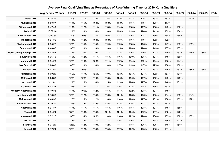### **Average Final Qualifying Time as Percentage of Race Winning Time for 2016 Kona Qualifiers**

|                                | <b>Avg Female Winner</b> | F18-24 | F25-29 | F30-34 | F35-39 | F40-44 | F45-49 | F50-54 | F55-59 | F60-64 | F65-69 | F70-74 | F75-79 | F80+ |
|--------------------------------|--------------------------|--------|--------|--------|--------|--------|--------|--------|--------|--------|--------|--------|--------|------|
| <b>Vichy 2015</b>              | 9:25:27                  | 120%   | 117%   | 112%   | 115%   | 125%   | 117%   | 125%   | 132%   | 161%   |        | 171%   |        |      |
| Muskoka 2015                   | 9:53:37                  | 119%   | 115%   | 103%   | 108%   | 108%   | 115%   | 118%   | 123%   | 117%   |        |        |        |      |
| <b>Wisconsin 2015</b>          | 9:47:49                  | 116%   | 112%   | 111%   | 113%   | 114%   | 118%   | 127%   | 136%   | 149%   | 156%   |        |        |      |
| <b>Wales 2015</b>              | 10:09:10                 | 121%   | 113%   | 114%   | 118%   | 120%   | 113%   | 124%   | 141%   | 152%   | 164%   |        |        |      |
| Lake Tahoe 2015                | 10:13:54                 | 120%   | 108%   | 113%   | 108%   | 118%   | 116%   | 124%   | 139%   | 158%   | 164%   |        |        |      |
| Mallorca 2015                  | 9:24:32                  | 118%   | 112%   | 108%   | 108%   | 113%   | 116%   | 116%   | 122%   | 132%   |        |        |        |      |
| Chattanooga 2015               | 8:55:27                  | 129%   | 114%   | 115%   | 119%   | 119%   | 118%   | 126%   | 132%   | 147%   | 165%   | 183%   |        |      |
| Barcelona 2015                 | 8:48:02                  | 135%   | 110%   | 113%   | 113%   | 115%   | 120%   | 124%   | 143%   | 157%   | 167%   |        |        |      |
| <b>World Championship 2015</b> | 9:03:53                  | 114%   | 110%   | 110%   | 111%   | 112%   | 116%   | 119%   | 127%   | 140%   | 157%   | 174%   | 184%   |      |
| Louisville 2015                | 9:36:15                  | 116%   | 112%   | 111%   | 115%   | 116%   | 120%   | 125%   | 134%   | 149%   | 169%   |        |        |      |
| Maryland 2015                  | 9:34:29                  | 120%   | 110%   | 103%   | 111%   | 112%   | 114%   | 119%   | 124%   | 126%   | 144%   |        |        |      |
| Los Cabos 2015                 | 9:26:08                  | 142%   | 110%   | 114%   | 114%   | 117%   | 113%   | 117%   | 125%   | 158%   | 162%   |        |        |      |
| Florida 2015                   | 9:04:51                  | 115%   | 109%   | 111%   | 113%   | 113%   | 117%   | 122%   | 131%   | 146%   | 163%   | 185%   | 155%   |      |
| Fortaleza 2015                 | 9:09:20                  | 150%   | 117%   | 125%   | 119%   | 124%   | 125%   | 137%   | 132%   | 157%   | 181%   |        |        |      |
| Malaysia 2015                  | 9:26:38                  | 129%   | 120%   | 116%   | 116%   | 124%   | 130%   | 127%   | 162%   | 149%   | 173%   |        |        |      |
| Arizona 2015                   | 9:11:01                  | 121%   | 116%   | 114%   | 115%   | 119%   | 124%   | 127%   | 136%   | 148%   | 161%   |        |        |      |
| Cozumel 2015                   | 9:08:24                  | 122%   | 113%   | 111%   | 116%   | 115%   | 122%   | 118%   | 136%   | 152%   |        |        |        |      |
| Western Australia 2015         | 9:10:38                  | 117%   | 109%   | 112%   | 115%   | 117%   | 122%   | 123%   | 134%   | 149%   |        |        |        |      |
| New Zealand 2016               | 9:18:08                  | 120%   | 112%   | 113%   | 116%   | 121%   | 123%   | 126%   | 135%   | 154%   | 159%   | 164%   |        |      |
| Melbourne 2016                 | 8:48:33                  | 123%   | 115%   | 112%   | 116%   | 114%   | 120%   | 127%   | 131%   | 168%   | 159%   | 192%   |        |      |
| South Africa 2016              | 9:19:21                  | 127%   | 119%   | 122%   | 120%   | 123%   | 126%   | 137%   | 143%   | 162%   |        |        |        |      |
| Australia 2016                 | 9:21:37                  | 117%   | 111%   | 111%   | 115%   | 116%   | 115%   | 123%   | 134%   | 145%   | 155%   |        |        |      |
| <b>Texas 2016</b>              | 8:54:24                  | 137%   | 118%   | 118%   | 121%   | 121%   | 124%   | 132%   | 137%   | 150%   | 172%   |        |        |      |
| Lanzarote 2016                 | 9:52:17                  | 132%   | 114%   | 108%   | 114%   | 116%   | 122%   | 120%   | 134%   | 139%   | 162%   | 169%   |        |      |
| Brazil 2016                    | 9:34:30                  | 119%   | 115%   | 114%   | 113%   | 115%   | 116%   | 121%   | 138%   | 155%   | 143%   |        |        |      |
| France 2016                    | 9:34:29                  | 123%   | 112%   | 110%   | 112%   | 111%   | 118%   | 126%   | 135%   | 148%   | 154%   |        |        |      |
| <b>Cairns 2016</b>             | 9:17:24                  | 128%   | 112%   | 113%   | 115%   | 117%   | 122%   | 125%   | 136%   | 151%   |        |        |        |      |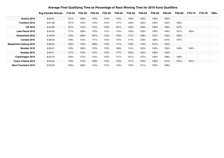|                                | <b>Avg Female Winner</b> | F18-24 | F25-29 | F30-34 | F35-39 | F40-44 | F45-49 | F50-54 | F55-59 | F60-64 | F65-69 | F70-74 | F75-79 | F80+ |
|--------------------------------|--------------------------|--------|--------|--------|--------|--------|--------|--------|--------|--------|--------|--------|--------|------|
| Austria 2016                   | 9:00:01                  | 121%   | 109%   | 110%   | 114%   | 115%   | 118%   | 122%   | 146%   | 153%   |        |        |        |      |
| <b>Frankfurt 2016</b>          | 9:01:28                  | 121%   | 115%   | 112%   | 114%   | 117%   | 122%   | 135%   | 140%   | 154%   | 163%   |        |        |      |
| <b>UK 2016</b>                 | 9:44:26                  | 127%   | 114%   | 113%   | 116%   | 121%   | 123%   | 129%   | 135%   | 156%   | 157%   |        |        |      |
| Lake Placid 2016               | 9:40:45                  | 117%   | 108%   | 110%   | 111%   | 114%   | 118%   | 123%   | 130%   | 145%   | 151%   | 163%   |        |      |
| <b>Switzerland 2016</b>        | 9:16:24                  | 119%   | 109%   | 107%   | 110%   | 118%   | 117%   | 128%   | 137%   | 153%   | 162%   |        |        |      |
| Canada 2016                    | 9:28:52                  | 118%   | 110%   | 111%   | 112%   | 114%   | 117%   | 124%   | 126%   | 147%   | 157%   |        |        |      |
| <b>Maastricht-Limburg 2016</b> | 9:39:24                  | 123%   | 110%   | 108%   | 110%   | 111%   | 118%   | 119%   | 131%   | 155%   |        |        |        |      |
| Boulder 2016                   | 9:36:47                  | 118%   | 108%   | 110%   | 115%   | 109%   | 114%   | 120%   | 130%   | 135%   | 146%   | 164%   |        |      |
| Sweden 2016                    | 9:04:11                  | 117%   | 112%   | 113%   | 115%   | 117%   | 120%   | 122%   | 138%   | 153%   |        |        |        |      |
| Copenhagen 2016                | 8:50:19                  | 124%   | 112%   | 114%   | 113%   | 117%   | 121%   | 127%   | 132%   | 138%   | 146%   |        |        |      |
| Coeur d'Alene 2016             | 9:34:24                  | 119%   | 110%   | 108%   | 113%   | 115%   | 117%   | 123%   | 136%   | 147%   | 157%   | 167%   |        |      |
| <b>Mont-Tremblant 2016</b>     | 9:22:03                  | 132%   | 106%   | 114%   | 113%   | 113%   | 119%   | 121%   | 122%   | 138%   |        |        |        |      |

#### **Average Final Qualifying Time as Percentage of Race Winning Time for 2016 Kona Qualifiers**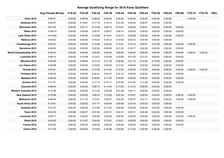| <b>Average Qualifying Range for 2016 Kona Qualifiers</b> |                          |         |         |         |         |         |         |         |         |         |         |         |         |      |
|----------------------------------------------------------|--------------------------|---------|---------|---------|---------|---------|---------|---------|---------|---------|---------|---------|---------|------|
|                                                          | <b>Avg Female Winner</b> | F18-24  | F25-29  | F30-34  | F35-39  | F40-44  | F45-49  | F50-54  | F55-59  | F60-64  | F65-69  | F70-74  | F75-79  | F80+ |
| <b>Vichy 2015</b>                                        | 9:25:27                  | 0:00:00 | 0:00:00 | 0:09:30 | 0:00:00 | 0:45:35 | 0:00:00 | 0:00:00 | 0:00:00 | 0:00:00 |         | 0:00:00 |         |      |
| Muskoka 2015                                             | 9:53:37                  | 0:00:00 | 0:18:07 | 0:17:15 | 0:18:13 | 0:01:35 | 0:26:45 | 0:28:37 | 0:03:39 | 0:00:00 |         |         |         |      |
| <b>Wisconsin 2015</b>                                    | 9:47:49                  | 0:00:00 | 0:07:17 | 0:12:48 | 0:20:10 | 0:10:57 | 0:30:29 | 0:35:21 | 0:00:00 | 0:00:00 | 0:00:00 |         |         |      |
| <b>Wales 2015</b>                                        | 10:09:10                 | 0:00:00 | 0:00:00 | 0:20:47 | 0:39:27 | 0:40:14 | 0:00:00 | 0:00:00 | 0:00:00 | 0:00:00 | 0:00:00 |         |         |      |
| Lake Tahoe 2015                                          | 10:13:54                 | 0:00:00 | 0:00:00 | 0:13:28 | 0:13:41 | 0:15:13 | 0:33:38 | 0:20:53 | 0:00:00 | 0:00:00 | 0:00:00 |         |         |      |
| Mallorca 2015                                            | 9:24:32                  | 0:00:00 | 0:00:00 | 0:19:23 | 0:16:10 | 0:10:50 | 0:26:15 | 0:00:00 | 0:00:00 | 0:00:00 |         |         |         |      |
| Chattanooga 2015                                         | 8:55:27                  | 0:00:00 | 0:00:00 | 0:13:46 | 0:24:03 | 0:15:27 | 0:16:19 | 0:30:07 | 0:27:28 | 0:00:00 | 0:00:00 | 0:00:00 |         |      |
| Barcelona 2015                                           | 8:48:02                  | 0:00:00 | 0:00:00 | 0:20:33 | 0:09:46 | 0:21:34 | 0:18:17 | 0:00:00 | 0:00:00 | 0:00:00 | 0:00:00 |         |         |      |
| <b>World Championship 2015</b>                           | 9:03:53                  | 0:00:00 | 0:00:00 | 0:00:00 | 0:00:00 | 0:00:00 | 0:00:00 | 0:00:00 | 0:00:00 | 0:00:00 | 0:00:00 | 0:00:00 | 0:00:00 |      |
| Louisville 2015                                          | 9:36:15                  | 0:00:00 | 0:10:38 | 0:13:21 | 0:23:38 | 0:23:58 | 0:31:05 | 0:21:37 | 0:00:00 | 0:00:00 | 0:00:00 |         |         |      |
| Maryland 2015                                            | 9:34:29                  | 0:00:00 | 0:48:24 | 0:14:13 | 0:11:18 | 0:36:28 | 0:21:10 | 0:15:50 | 0:15:09 | 0:00:00 | 0:00:00 |         |         |      |
| Los Cabos 2015                                           | 9:26:08                  | 0:00:00 | 0:00:00 | 0:19:53 | 0:00:00 | 0:11:54 | 0:06:49 | 0:00:00 | 0:00:00 | 0:00:00 | 0:00:00 |         |         |      |
| Florida 2015                                             | 9:04:51                  | 0:00:00 | 0:00:00 | 0:10:53 | 0:14:22 | 0:14:35 | 0:20:25 | 0:18:28 | 0:00:00 | 0:00:00 | 0:00:00 | 0:00:00 | 0:00:00 |      |
| Fortaleza 2015                                           | 9:09:20                  | 0:00:00 | 0:00:00 | 0:26:41 | 0:33:47 | 0:57:16 | 0:00:00 | 0:00:00 | 0:00:00 | 0:00:00 | 0:00:00 |         |         |      |
| Malaysia 2015                                            | 9:26:38                  | 0:00:00 | 0:00:00 | 0:00:00 | 0:17:35 | 0:00:00 | 0:00:00 | 0:00:00 | 0:00:00 | 0:00:00 | 0:00:00 |         |         |      |
| Arizona 2015                                             | 9:11:01                  | 0:00:00 | 0:22:34 | 0:17:14 | 0:10:17 | 0:27:35 | 0:31:32 | 0:11:39 | 0:00:00 | 0:00:00 | 0:00:00 |         |         |      |
| Cozumel 2015                                             | 9:08:24                  | 0:00:00 | 0:00:00 | 0:06:15 | 0:14:45 | 0:14:50 | 0:13:10 | 0:00:00 | 0:00:00 | 0:00:00 |         |         |         |      |
| Western Australia 2015                                   | 9:10:38                  | 0:00:00 | 0:00:00 | 0:11:44 | 0:22:28 | 0:31:28 | 0:24:17 | 0:00:00 | 0:00:00 | 0:00:00 |         |         |         |      |
| New Zealand 2016                                         | 9:18:08                  | 0:00:00 | 0:00:00 | 0:09:10 | 0:12:59 | 0:20:16 | 0:16:37 | 0:00:00 | 0:00:00 | 0:00:00 | 0:00:00 | 0:00:00 |         |      |
| Melbourne 2016                                           | 8:48:33                  | 0:00:00 | 0:11:16 | 0:13:31 | 0:23:57 | 0:22:33 | 0:32:07 | 0:07:17 | 0:00:00 | 0:00:00 | 0:00:00 | 0:00:00 |         |      |
| South Africa 2016                                        | 9:19:21                  | 0:00:00 | 0:25:52 | 0:51:11 | 0:25:56 | 0:34:48 | 0:27:44 | 0:42:24 | 0:00:00 | 0:00:00 |         |         |         |      |
| Australia 2016                                           | 9:21:37                  | 0:00:00 | 0:00:00 | 0:14:06 | 0:17:42 | 0:20:06 | 0:00:00 | 0:00:00 | 0:00:00 | 0:00:00 | 0:00:00 |         |         |      |
| <b>Texas 2016</b>                                        | 8:54:24                  | 0:45:06 | 0:08:47 | 0:21:52 | 0:31:41 | 0:44:14 | 0:23:11 | 0:34:45 | 0:32:20 | 0:00:00 | 0:00:00 |         |         |      |
| Lanzarote 2016                                           | 9:52:17                  | 0:00:00 | 0:00:00 | 0:00:00 | 0:00:00 | 0:00:00 | 0:00:00 | 0:00:00 | 0:00:00 | 0:00:00 | 0:00:00 | 0:00:00 |         |      |
| Brazil 2016                                              | 9:34:30                  | 0:00:00 | 0:14:57 | 0:24:00 | 0:19:31 | 0:16:21 | 0:00:00 | 0:00:00 | 0:00:00 | 0:00:00 | 0:00:00 |         |         |      |
| France 2016                                              | 9:34:29                  | 0:00:00 | 0:00:00 | 0:00:00 | 0:00:00 | 0:00:00 | 0:00:00 | 0:00:00 | 0:00:00 | 0:00:00 | 0:00:00 |         |         |      |
| <b>Cairns 2016</b>                                       | 9:17:24                  | 0:00:00 | 0:00:00 | 0:13:25 | 0:16:38 | 0:23:26 | 0:14:33 | 0:00:00 | 0:00:00 | 0:00:00 |         |         |         |      |